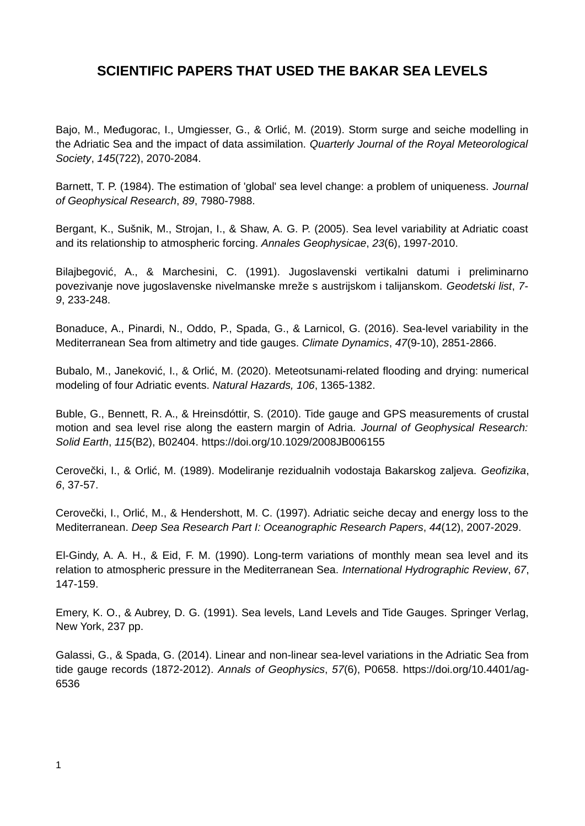## **SCIENTIFIC PAPERS THAT USED THE BAKAR SEA LEVELS**

Bajo, M., Međugorac, I., Umgiesser, G., & Orlić, M. (2019). Storm surge and seiche modelling in the Adriatic Sea and the impact of data assimilation. *Quarterly Journal of the Royal Meteorological Society*, *145*(722), 2070-2084.

Barnett, T. P. (1984). The estimation of 'global' sea level change: a problem of uniqueness. *Journal of Geophysical Research*, *89*, 7980-7988.

Bergant, K., Sušnik, M., Strojan, I., & Shaw, A. G. P. (2005). Sea level variability at Adriatic coast and its relationship to atmospheric forcing. *Annales Geophysicae*, *23*(6), 1997-2010.

Bilajbegović, A., & Marchesini, C. (1991). Jugoslavenski vertikalni datumi i preliminarno povezivanje nove jugoslavenske nivelmanske mreže s austrijskom i talijanskom. *Geodetski list*, *7- 9*, 233-248.

Bonaduce, A., Pinardi, N., Oddo, P., Spada, G., & Larnicol, G. (2016). Sea-level variability in the Mediterranean Sea from altimetry and tide gauges. *Climate Dynamics*, *47*(9-10), 2851-2866.

Bubalo, M., Janeković, I., & Orlić, M. (2020). Meteotsunami-related flooding and drying: numerical modeling of four Adriatic events. *Natural Hazards, 106*, 1365-1382.

Buble, G., Bennett, R. A., & Hreinsdóttir, S. (2010). Tide gauge and GPS measurements of crustal motion and sea level rise along the eastern margin of Adria. *Journal of Geophysical Research: Solid Earth*, *115*(B2), B02404. https://doi.org/10.1029/2008JB006155

Cerovečki, I., & Orlić, M. (1989). Modeliranje rezidualnih vodostaja Bakarskog zaljeva. *Geofizika*, *6*, 37-57.

Cerovečki, I., Orlić, M., & Hendershott, M. C. (1997). Adriatic seiche decay and energy loss to the Mediterranean. *Deep Sea Research Part I: Oceanographic Research Papers*, *44*(12), 2007-2029.

El-Gindy, A. A. H., & Eid, F. M. (1990). Long-term variations of monthly mean sea level and its relation to atmospheric pressure in the Mediterranean Sea. *International Hydrographic Review*, *67*, 147-159.

Emery, K. O., & Aubrey, D. G. (1991). Sea levels, Land Levels and Tide Gauges. Springer Verlag, New York, 237 pp.

Galassi, G., & Spada, G. (2014). Linear and non-linear sea-level variations in the Adriatic Sea from tide gauge records (1872-2012). *Annals of Geophysics*, *57*(6), P0658. https://doi.org/10.4401/ag-6536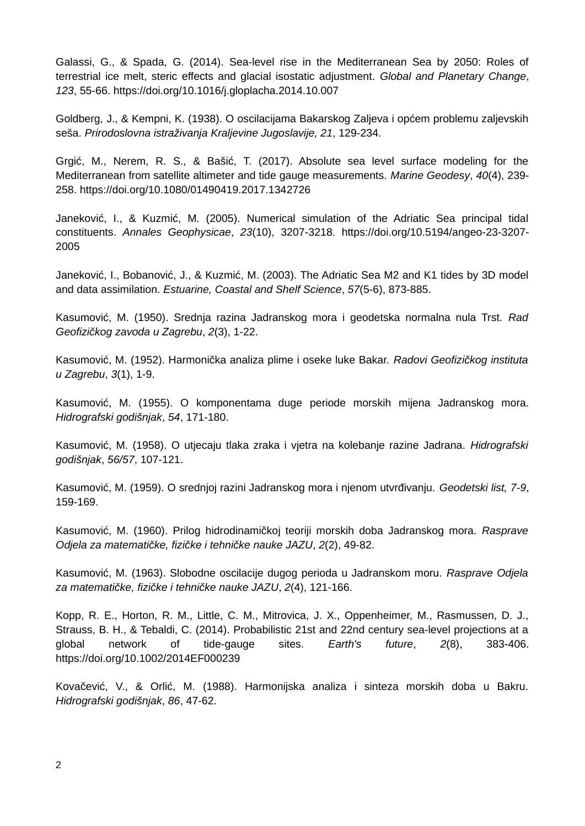Galassi, G., & Spada, G. (2014). Sea-level rise in the Mediterranean Sea by 2050: Roles of terrestrial ice melt, steric effects and glacial isostatic adjustment. *Global and Planetary Change*, *123*, 55-66. https://doi.org/10.1016/j.gloplacha.2014.10.007

Goldberg, J., & Kempni, K. (1938). O oscilacijama Bakarskog Zaljeva i općem problemu zaljevskih seša. *Prirodoslovna istraživanja Kraljevine Jugoslavije, 21*, 129-234.

Grgić, M., Nerem, R. S., & Bašić, T. (2017). Absolute sea level surface modeling for the Mediterranean from satellite altimeter and tide gauge measurements. *Marine Geodesy*, *40*(4), 239- 258. https://doi.org/10.1080/01490419.2017.1342726

Janeković, I., & Kuzmić, M. (2005). Numerical simulation of the Adriatic Sea principal tidal constituents. *Annales Geophysicae*, *23*(10), 3207-3218. https://doi.org/10.5194/angeo-23-3207- 2005

Janeković, I., Bobanović, J., & Kuzmić, M. (2003). The Adriatic Sea M2 and K1 tides by 3D model and data assimilation. *Estuarine, Coastal and Shelf Science*, *57*(5-6), 873-885.

Kasumović, M. (1950). Srednja razina Jadranskog mora i geodetska normalna nula Trst. *Rad Geofizičkog zavoda u Zagrebu*, *2*(3), 1-22.

Kasumović, M. (1952). Harmonička analiza plime i oseke luke Bakar. *Radovi Geofizičkog instituta u Zagrebu*, *3*(1), 1-9.

Kasumović, M. (1955). O komponentama duge periode morskih mijena Jadranskog mora. *Hidrografski godišnjak*, *54*, 171-180.

Kasumović, M. (1958). O utjecaju tlaka zraka i vjetra na kolebanje razine Jadrana. *Hidrografski godišnjak*, *56/57*, 107-121.

Kasumović, M. (1959). O srednjoj razini Jadranskog mora i njenom utvrđivanju. *Geodetski list, 7-9*, 159-169.

Kasumović, M. (1960). Prilog hidrodinamičkoj teoriji morskih doba Jadranskog mora. *Rasprave Odjela za matematičke, fizičke i tehničke nauke JAZU*, *2*(2), 49-82.

Kasumović, M. (1963). Slobodne oscilacije dugog perioda u Jadranskom moru. *Rasprave Odjela za matematičke, fizičke i tehničke nauke JAZU*, *2*(4), 121-166.

Kopp, R. E., Horton, R. M., Little, C. M., Mitrovica, J. X., Oppenheimer, M., Rasmussen, D. J., Strauss, B. H., & Tebaldi, C. (2014). Probabilistic 21st and 22nd century sea-level projections at a global network of tide-gauge sites. *Earth's future*, *2*(8), 383-406. https://doi.org/10.1002/2014EF000239

Kovačević, V., & Orlić, M. (1988). Harmonijska analiza i sinteza morskih doba u Bakru. *Hidrografski godišnjak*, *86*, 47-62.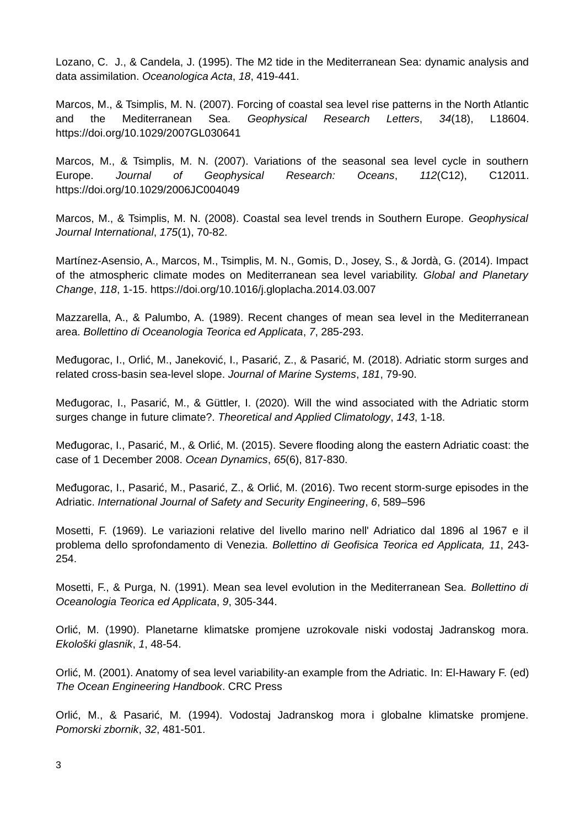Lozano, C. J., & Candela, J. (1995). The M2 tide in the Mediterranean Sea: dynamic analysis and data assimilation. *Oceanologica Acta*, *18*, 419-441.

Marcos, M., & Tsimplis, M. N. (2007). Forcing of coastal sea level rise patterns in the North Atlantic and the Mediterranean Sea. *Geophysical Research Letters*, *34*(18), L18604. https://doi.org/10.1029/2007GL030641

Marcos, M., & Tsimplis, M. N. (2007). Variations of the seasonal sea level cycle in southern Europe. *Journal of Geophysical Research: Oceans*, *112*(C12), C12011. https://doi.org/10.1029/2006JC004049

Marcos, M., & Tsimplis, M. N. (2008). Coastal sea level trends in Southern Europe. *Geophysical Journal International*, *175*(1), 70-82.

Martínez-Asensio, A., Marcos, M., Tsimplis, M. N., Gomis, D., Josey, S., & Jordà, G. (2014). Impact of the atmospheric climate modes on Mediterranean sea level variability. *Global and Planetary Change*, *118*, 1-15. https://doi.org/10.1016/j.gloplacha.2014.03.007

Mazzarella, A., & Palumbo, A. (1989). Recent changes of mean sea level in the Mediterranean area. *Bollettino di Oceanologia Teorica ed Applicata*, *7*, 285-293.

Međugorac, I., Orlić, M., Janeković, I., Pasarić, Z., & Pasarić, M. (2018). Adriatic storm surges and related cross-basin sea-level slope. *Journal of Marine Systems*, *181*, 79-90.

Međugorac, I., Pasarić, M., & Güttler, I. (2020). Will the wind associated with the Adriatic storm surges change in future climate?. *Theoretical and Applied Climatology*, *143*, 1-18.

Međugorac, I., Pasarić, M., & Orlić, M. (2015). Severe flooding along the eastern Adriatic coast: the case of 1 December 2008. *Ocean Dynamics*, *65*(6), 817-830.

Međugorac, I., Pasarić, M., Pasarić, Z., & Orlić, M. (2016). Two recent storm-surge episodes in the Adriatic. *International Journal of Safety and Security Engineering*, *6*, 589–596

Mosetti, F. (1969). Le variazioni relative del livello marino nell' Adriatico dal 1896 al 1967 e il problema dello sprofondamento di Venezia. *Bollettino di Geofisica Teorica ed Applicata, 11*, 243- 254.

Mosetti, F., & Purga, N. (1991). Mean sea level evolution in the Mediterranean Sea. *Bollettino di Oceanologia Teorica ed Applicata*, *9*, 305-344.

Orlić, M. (1990). Planetarne klimatske promjene uzrokovale niski vodostaj Jadranskog mora. *Ekološki glasnik*, *1*, 48-54.

Orlić, M. (2001). Anatomy of sea level variability-an example from the Adriatic. In: El-Hawary F. (ed) *The Ocean Engineering Handbook*. CRC Press

Orlić, M., & Pasarić, M. (1994). Vodostaj Jadranskog mora i globalne klimatske promjene. *Pomorski zbornik*, *32*, 481-501.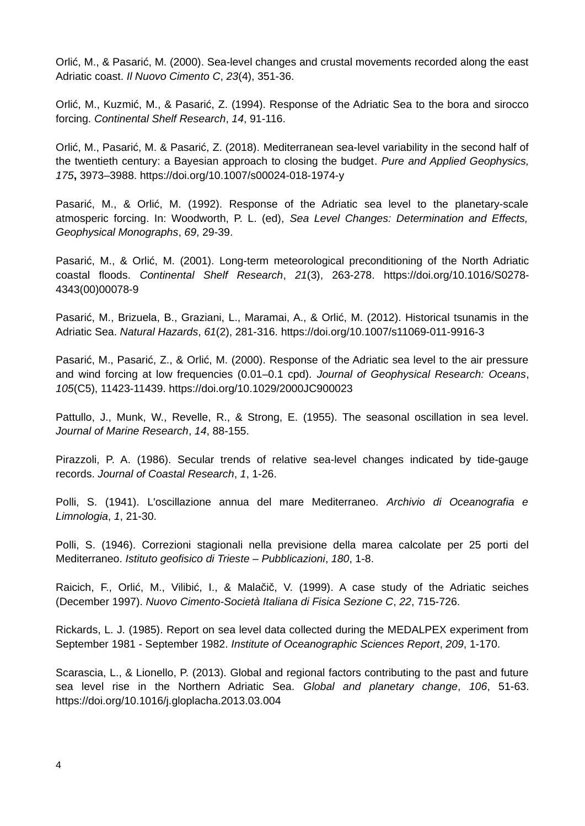Orlić, M., & Pasarić, M. (2000). Sea-level changes and crustal movements recorded along the east Adriatic coast. *Il Nuovo Cimento C*, *23*(4), 351-36.

Orlić, M., Kuzmić, M., & Pasarić, Z. (1994). Response of the Adriatic Sea to the bora and sirocco forcing. *Continental Shelf Research*, *14*, 91-116.

Orlić, M., Pasarić, M. & Pasarić, Z. (2018). Mediterranean sea-level variability in the second half of the twentieth century: a Bayesian approach to closing the budget. *Pure and Applied Geophysics, 175***,** 3973–3988. https://doi.org/10.1007/s00024-018-1974-y

Pasarić, M., & Orlić, M. (1992). Response of the Adriatic sea level to the planetary-scale atmosperic forcing. In: Woodworth, P. L. (ed), *Sea Level Changes: Determination and Effects, Geophysical Monographs*, *69*, 29-39.

Pasarić, M., & Orlić, M. (2001). Long-term meteorological preconditioning of the North Adriatic coastal floods. *Continental Shelf Research*, *21*(3), 263-278. https://doi.org/10.1016/S0278- 4343(00)00078-9

Pasarić, M., Brizuela, B., Graziani, L., Maramai, A., & Orlić, M. (2012). Historical tsunamis in the Adriatic Sea. *Natural Hazards*, *61*(2), 281-316. https://doi.org/10.1007/s11069-011-9916-3

Pasarić, M., Pasarić, Z., & Orlić, M. (2000). Response of the Adriatic sea level to the air pressure and wind forcing at low frequencies (0.01–0.1 cpd). *Journal of Geophysical Research: Oceans*, *105*(C5), 11423-11439. https://doi.org/10.1029/2000JC900023

Pattullo, J., Munk, W., Revelle, R., & Strong, E. (1955). The seasonal oscillation in sea level. *Journal of Marine Research*, *14*, 88-155.

Pirazzoli, P. A. (1986). Secular trends of relative sea-level changes indicated by tide-gauge records. *Journal of Coastal Research*, *1*, 1-26.

Polli, S. (1941). L'oscillazione annua del mare Mediterraneo. *Archivio di Oceanografia e Limnologia*, *1*, 21-30.

Polli, S. (1946). Correzioni stagionali nella previsione della marea calcolate per 25 porti del Mediterraneo. *Istituto geofisico di Trieste – Pubblicazioni*, *180*, 1-8.

Raicich, F., Orlić, M., Vilibić, I., & Malačič, V. (1999). A case study of the Adriatic seiches (December 1997). *Nuovo Cimento-Società Italiana di Fisica Sezione C*, *22*, 715-726.

Rickards, L. J. (1985). Report on sea level data collected during the MEDALPEX experiment from September 1981 - September 1982. *Institute of Oceanographic Sciences Report*, *209*, 1-170.

Scarascia, L., & Lionello, P. (2013). Global and regional factors contributing to the past and future sea level rise in the Northern Adriatic Sea. *Global and planetary change*, *106*, 51-63. https://doi.org/10.1016/j.gloplacha.2013.03.004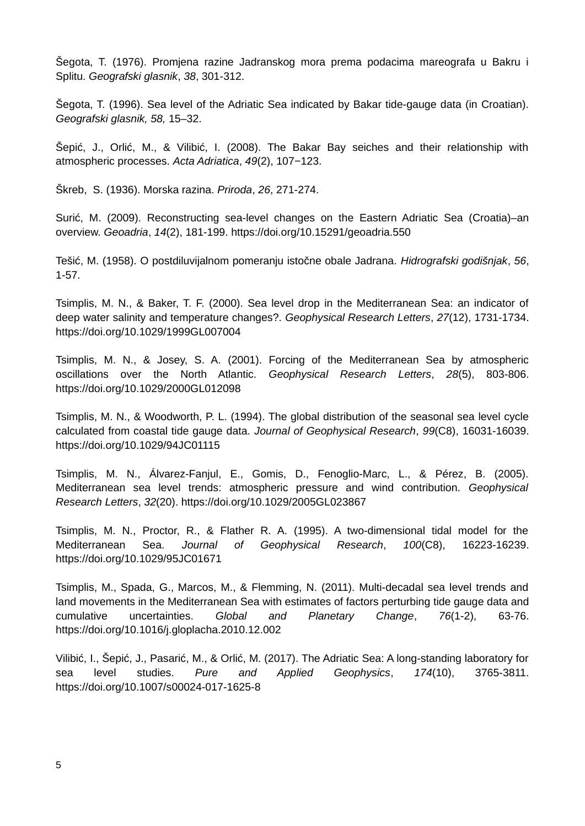Šegota, T. (1976). Promjena razine Jadranskog mora prema podacima mareografa u Bakru i Splitu. *Geografski glasnik*, *38*, 301-312.

Šegota, T. (1996). Sea level of the Adriatic Sea indicated by Bakar tide-gauge data (in Croatian). *Geografski glasnik, 58,* 15–32.

Šepić, J., Orlić, M., & Vilibić, I. (2008). The Bakar Bay seiches and their relationship with atmospheric processes. *Acta Adriatica*, *49*(2), 107−123.

Škreb, S. (1936). Morska razina. *Priroda*, *26*, 271-274.

Surić, M. (2009). Reconstructing sea-level changes on the Eastern Adriatic Sea (Croatia)–an overview. *Geoadria*, *14*(2), 181-199. https://doi.org/10.15291/geoadria.550

Tešić, M. (1958). O postdiluvijalnom pomeranju istočne obale Jadrana. *Hidrografski godišnjak*, *56*, 1-57.

Tsimplis, M. N., & Baker, T. F. (2000). Sea level drop in the Mediterranean Sea: an indicator of deep water salinity and temperature changes?. *Geophysical Research Letters*, *27*(12), 1731-1734. https://doi.org/10.1029/1999GL007004

Tsimplis, M. N., & Josey, S. A. (2001). Forcing of the Mediterranean Sea by atmospheric oscillations over the North Atlantic. *Geophysical Research Letters*, *28*(5), 803-806. https://doi.org/10.1029/2000GL012098

Tsimplis, M. N., & Woodworth, P. L. (1994). The global distribution of the seasonal sea level cycle calculated from coastal tide gauge data. *Journal of Geophysical Research*, *99*(C8), 16031-16039. <https://doi.org/10.1029/94JC01115>

Tsimplis, M. N., Álvarez-Fanjul, E., Gomis, D., Fenoglio-Marc, L., & Pérez, B. (2005). Mediterranean sea level trends: atmospheric pressure and wind contribution. *Geophysical Research Letters*, *32*(20). https://doi.org/10.1029/2005GL023867

Tsimplis, M. N., Proctor, R., & Flather R. A. (1995). A two-dimensional tidal model for the Mediterranean Sea. *Journal of Geophysical Research*, *100*(C8), 16223-16239. <https://doi.org/10.1029/95JC01671>

Tsimplis, M., Spada, G., Marcos, M., & Flemming, N. (2011). Multi-decadal sea level trends and land movements in the Mediterranean Sea with estimates of factors perturbing tide gauge data and cumulative uncertainties. *Global and Planetary Change*, *76*(1-2), 63-76. https://doi.org/10.1016/j.gloplacha.2010.12.002

Vilibić, I., Šepić, J., Pasarić, M., & Orlić, M. (2017). The Adriatic Sea: A long-standing laboratory for sea level studies. *Pure and Applied Geophysics*, *174*(10), 3765-3811. https://doi.org/10.1007/s00024-017-1625-8